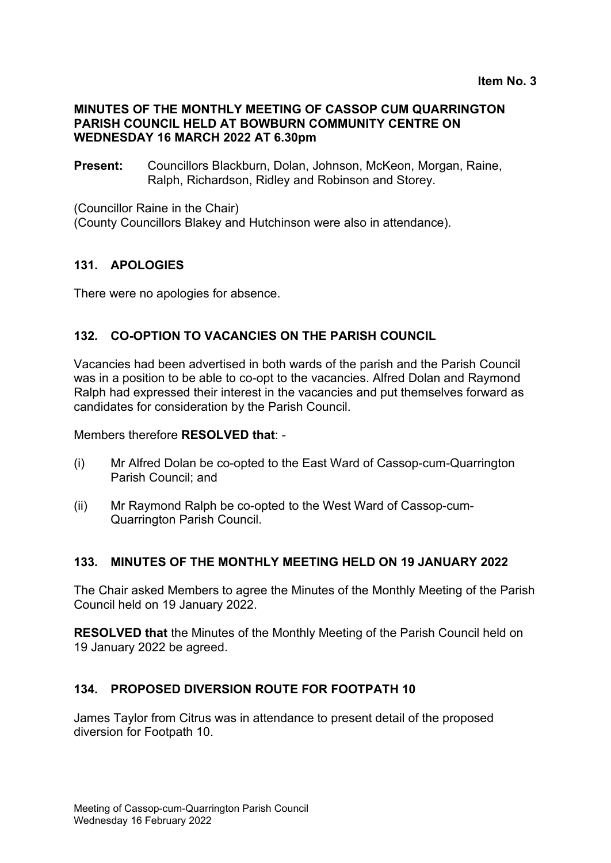#### **MINUTES OF THE MONTHLY MEETING OF CASSOP CUM QUARRINGTON PARISH COUNCIL HELD AT BOWBURN COMMUNITY CENTRE ON WEDNESDAY 16 MARCH 2022 AT 6.30pm**

**Present:** Councillors Blackburn, Dolan, Johnson, McKeon, Morgan, Raine, Ralph, Richardson, Ridley and Robinson and Storey.

(Councillor Raine in the Chair)

(County Councillors Blakey and Hutchinson were also in attendance).

#### **131. APOLOGIES**

There were no apologies for absence.

### **132. CO-OPTION TO VACANCIES ON THE PARISH COUNCIL**

Vacancies had been advertised in both wards of the parish and the Parish Council was in a position to be able to co-opt to the vacancies. Alfred Dolan and Raymond Ralph had expressed their interest in the vacancies and put themselves forward as candidates for consideration by the Parish Council.

Members therefore **RESOLVED that**: -

- (i) Mr Alfred Dolan be co-opted to the East Ward of Cassop-cum-Quarrington Parish Council; and
- (ii) Mr Raymond Ralph be co-opted to the West Ward of Cassop-cum-Quarrington Parish Council.

#### **133. MINUTES OF THE MONTHLY MEETING HELD ON 19 JANUARY 2022**

The Chair asked Members to agree the Minutes of the Monthly Meeting of the Parish Council held on 19 January 2022.

**RESOLVED that** the Minutes of the Monthly Meeting of the Parish Council held on 19 January 2022 be agreed.

## **134. PROPOSED DIVERSION ROUTE FOR FOOTPATH 10**

James Taylor from Citrus was in attendance to present detail of the proposed diversion for Footpath 10.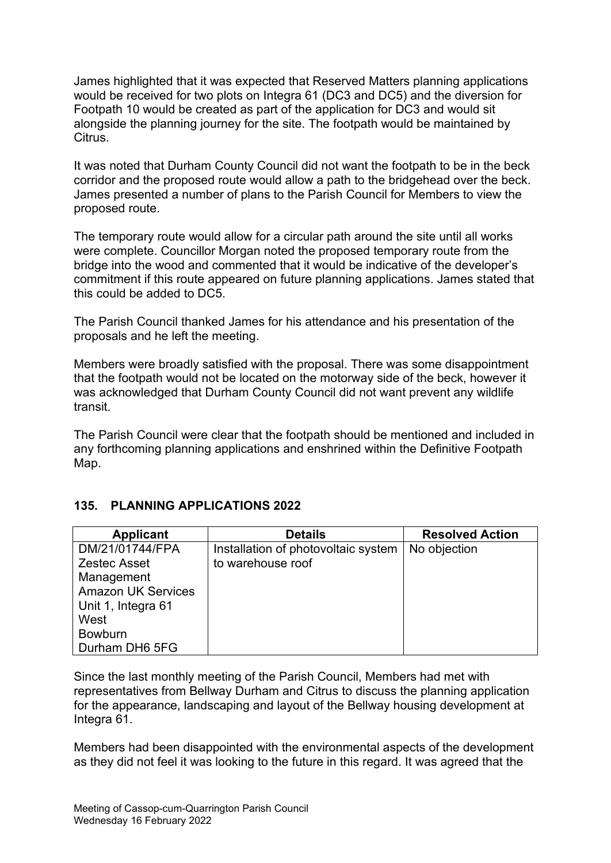James highlighted that it was expected that Reserved Matters planning applications would be received for two plots on Integra 61 (DC3 and DC5) and the diversion for Footpath 10 would be created as part of the application for DC3 and would sit alongside the planning journey for the site. The footpath would be maintained by Citrus.

It was noted that Durham County Council did not want the footpath to be in the beck corridor and the proposed route would allow a path to the bridgehead over the beck. James presented a number of plans to the Parish Council for Members to view the proposed route.

The temporary route would allow for a circular path around the site until all works were complete. Councillor Morgan noted the proposed temporary route from the bridge into the wood and commented that it would be indicative of the developer's commitment if this route appeared on future planning applications. James stated that this could be added to DC5.

The Parish Council thanked James for his attendance and his presentation of the proposals and he left the meeting.

Members were broadly satisfied with the proposal. There was some disappointment that the footpath would not be located on the motorway side of the beck, however it was acknowledged that Durham County Council did not want prevent any wildlife transit.

The Parish Council were clear that the footpath should be mentioned and included in any forthcoming planning applications and enshrined within the Definitive Footpath Map.

|  | 135. PLANNING APPLICATIONS 2022 |
|--|---------------------------------|
|--|---------------------------------|

| <b>Applicant</b>          | <b>Details</b>                      | <b>Resolved Action</b> |
|---------------------------|-------------------------------------|------------------------|
| DM/21/01744/FPA           | Installation of photovoltaic system | No objection           |
| <b>Zestec Asset</b>       | to warehouse roof                   |                        |
| Management                |                                     |                        |
| <b>Amazon UK Services</b> |                                     |                        |
| Unit 1, Integra 61        |                                     |                        |
| West                      |                                     |                        |
| <b>Bowburn</b>            |                                     |                        |
| Durham DH6 5FG            |                                     |                        |

Since the last monthly meeting of the Parish Council, Members had met with representatives from Bellway Durham and Citrus to discuss the planning application for the appearance, landscaping and layout of the Bellway housing development at Integra 61.

Members had been disappointed with the environmental aspects of the development as they did not feel it was looking to the future in this regard. It was agreed that the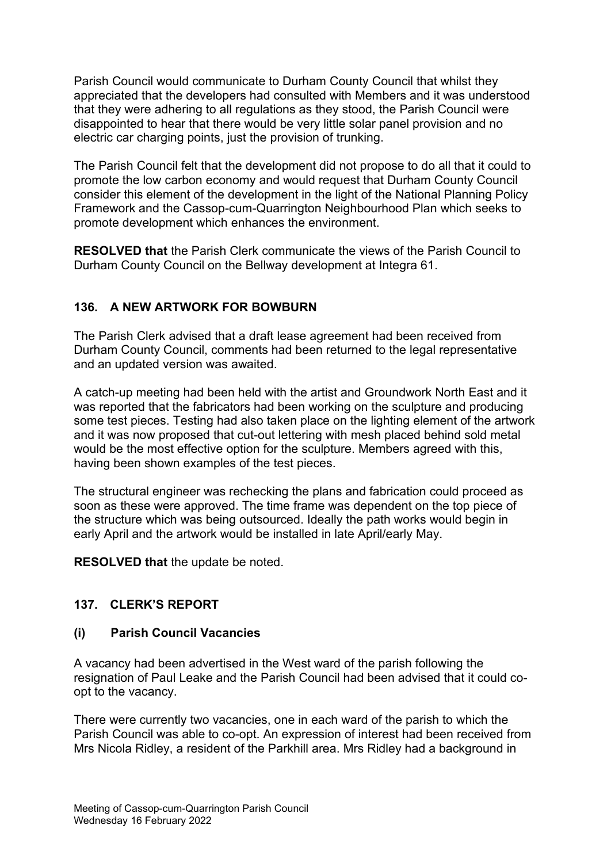Parish Council would communicate to Durham County Council that whilst they appreciated that the developers had consulted with Members and it was understood that they were adhering to all regulations as they stood, the Parish Council were disappointed to hear that there would be very little solar panel provision and no electric car charging points, just the provision of trunking.

The Parish Council felt that the development did not propose to do all that it could to promote the low carbon economy and would request that Durham County Council consider this element of the development in the light of the National Planning Policy Framework and the Cassop-cum-Quarrington Neighbourhood Plan which seeks to promote development which enhances the environment.

**RESOLVED that** the Parish Clerk communicate the views of the Parish Council to Durham County Council on the Bellway development at Integra 61.

# **136. A NEW ARTWORK FOR BOWBURN**

The Parish Clerk advised that a draft lease agreement had been received from Durham County Council, comments had been returned to the legal representative and an updated version was awaited.

A catch-up meeting had been held with the artist and Groundwork North East and it was reported that the fabricators had been working on the sculpture and producing some test pieces. Testing had also taken place on the lighting element of the artwork and it was now proposed that cut-out lettering with mesh placed behind sold metal would be the most effective option for the sculpture. Members agreed with this, having been shown examples of the test pieces.

The structural engineer was rechecking the plans and fabrication could proceed as soon as these were approved. The time frame was dependent on the top piece of the structure which was being outsourced. Ideally the path works would begin in early April and the artwork would be installed in late April/early May.

**RESOLVED that** the update be noted.

## **137. CLERK'S REPORT**

## **(i) Parish Council Vacancies**

A vacancy had been advertised in the West ward of the parish following the resignation of Paul Leake and the Parish Council had been advised that it could coopt to the vacancy.

There were currently two vacancies, one in each ward of the parish to which the Parish Council was able to co-opt. An expression of interest had been received from Mrs Nicola Ridley, a resident of the Parkhill area. Mrs Ridley had a background in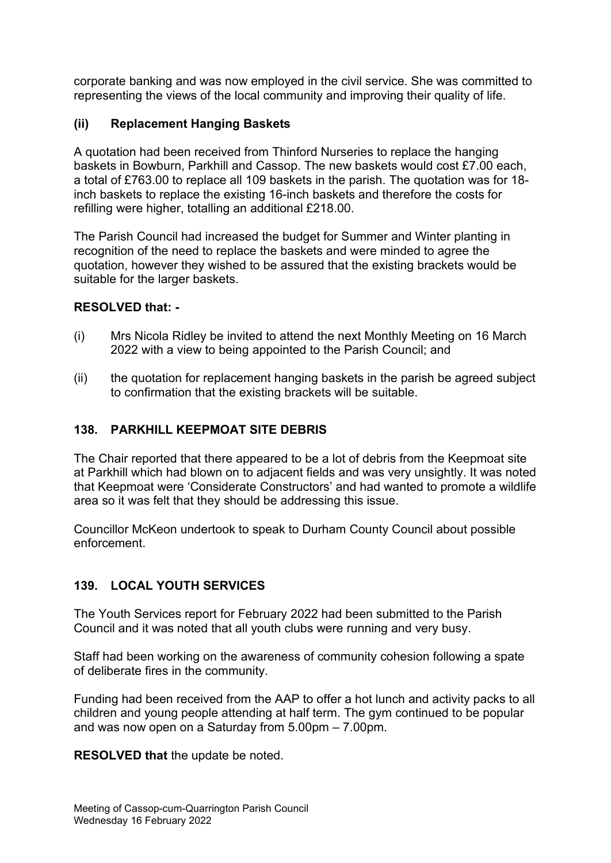corporate banking and was now employed in the civil service. She was committed to representing the views of the local community and improving their quality of life.

# **(ii) Replacement Hanging Baskets**

A quotation had been received from Thinford Nurseries to replace the hanging baskets in Bowburn, Parkhill and Cassop. The new baskets would cost £7.00 each, a total of £763.00 to replace all 109 baskets in the parish. The quotation was for 18 inch baskets to replace the existing 16-inch baskets and therefore the costs for refilling were higher, totalling an additional £218.00.

The Parish Council had increased the budget for Summer and Winter planting in recognition of the need to replace the baskets and were minded to agree the quotation, however they wished to be assured that the existing brackets would be suitable for the larger baskets.

## **RESOLVED that: -**

- (i) Mrs Nicola Ridley be invited to attend the next Monthly Meeting on 16 March 2022 with a view to being appointed to the Parish Council; and
- (ii) the quotation for replacement hanging baskets in the parish be agreed subject to confirmation that the existing brackets will be suitable.

## **138. PARKHILL KEEPMOAT SITE DEBRIS**

The Chair reported that there appeared to be a lot of debris from the Keepmoat site at Parkhill which had blown on to adjacent fields and was very unsightly. It was noted that Keepmoat were 'Considerate Constructors' and had wanted to promote a wildlife area so it was felt that they should be addressing this issue.

Councillor McKeon undertook to speak to Durham County Council about possible enforcement.

## **139. LOCAL YOUTH SERVICES**

The Youth Services report for February 2022 had been submitted to the Parish Council and it was noted that all youth clubs were running and very busy.

Staff had been working on the awareness of community cohesion following a spate of deliberate fires in the community.

Funding had been received from the AAP to offer a hot lunch and activity packs to all children and young people attending at half term. The gym continued to be popular and was now open on a Saturday from 5.00pm – 7.00pm.

**RESOLVED that** the update be noted.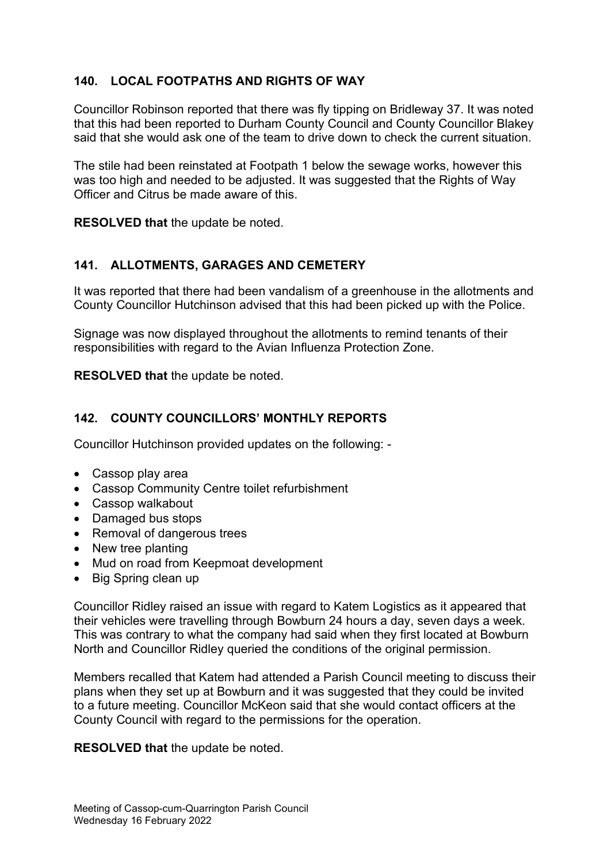# **140. LOCAL FOOTPATHS AND RIGHTS OF WAY**

Councillor Robinson reported that there was fly tipping on Bridleway 37. It was noted that this had been reported to Durham County Council and County Councillor Blakey said that she would ask one of the team to drive down to check the current situation.

The stile had been reinstated at Footpath 1 below the sewage works, however this was too high and needed to be adjusted. It was suggested that the Rights of Way Officer and Citrus be made aware of this.

**RESOLVED that** the update be noted.

### **141. ALLOTMENTS, GARAGES AND CEMETERY**

It was reported that there had been vandalism of a greenhouse in the allotments and County Councillor Hutchinson advised that this had been picked up with the Police.

Signage was now displayed throughout the allotments to remind tenants of their responsibilities with regard to the Avian Influenza Protection Zone.

**RESOLVED that** the update be noted.

#### **142. COUNTY COUNCILLORS' MONTHLY REPORTS**

Councillor Hutchinson provided updates on the following: -

- Cassop play area
- Cassop Community Centre toilet refurbishment
- Cassop walkabout
- Damaged bus stops
- Removal of dangerous trees
- New tree planting
- Mud on road from Keepmoat development
- Big Spring clean up

Councillor Ridley raised an issue with regard to Katem Logistics as it appeared that their vehicles were travelling through Bowburn 24 hours a day, seven days a week. This was contrary to what the company had said when they first located at Bowburn North and Councillor Ridley queried the conditions of the original permission.

Members recalled that Katem had attended a Parish Council meeting to discuss their plans when they set up at Bowburn and it was suggested that they could be invited to a future meeting. Councillor McKeon said that she would contact officers at the County Council with regard to the permissions for the operation.

**RESOLVED that** the update be noted.